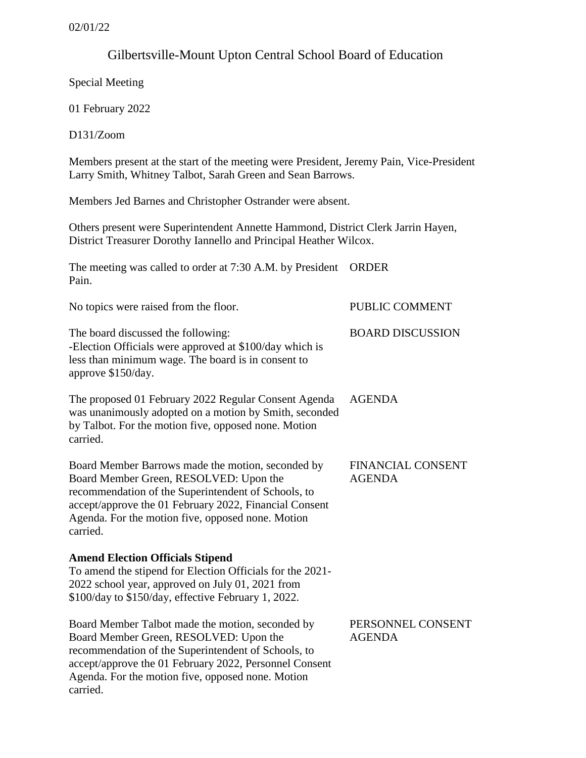## Gilbertsville-Mount Upton Central School Board of Education

Special Meeting

01 February 2022

D131/Zoom

Members present at the start of the meeting were President, Jeremy Pain, Vice-President Larry Smith, Whitney Talbot, Sarah Green and Sean Barrows.

Members Jed Barnes and Christopher Ostrander were absent.

Others present were Superintendent Annette Hammond, District Clerk Jarrin Hayen, District Treasurer Dorothy Iannello and Principal Heather Wilcox.

| The meeting was called to order at 7:30 A.M. by President<br>Pain.                                                                                                                                                                                                            | <b>ORDER</b>                              |
|-------------------------------------------------------------------------------------------------------------------------------------------------------------------------------------------------------------------------------------------------------------------------------|-------------------------------------------|
| No topics were raised from the floor.                                                                                                                                                                                                                                         | PUBLIC COMMENT                            |
| The board discussed the following:<br>-Election Officials were approved at \$100/day which is<br>less than minimum wage. The board is in consent to<br>approve \$150/day.                                                                                                     | <b>BOARD DISCUSSION</b>                   |
| The proposed 01 February 2022 Regular Consent Agenda<br>was unanimously adopted on a motion by Smith, seconded<br>by Talbot. For the motion five, opposed none. Motion<br>carried.                                                                                            | <b>AGENDA</b>                             |
| Board Member Barrows made the motion, seconded by<br>Board Member Green, RESOLVED: Upon the<br>recommendation of the Superintendent of Schools, to<br>accept/approve the 01 February 2022, Financial Consent<br>Agenda. For the motion five, opposed none. Motion<br>carried. | <b>FINANCIAL CONSENT</b><br><b>AGENDA</b> |
| <b>Amend Election Officials Stipend</b><br>To amend the stipend for Election Officials for the 2021-<br>2022 school year, approved on July 01, 2021 from<br>\$100/day to \$150/day, effective February 1, 2022.                                                               |                                           |
| Board Member Talbot made the motion, seconded by<br>Board Member Green, RESOLVED: Upon the<br>recommendation of the Superintendent of Schools, to<br>accept/approve the 01 February 2022, Personnel Consent<br>Agenda. For the motion five, opposed none. Motion<br>carried.  | PERSONNEL CONSENT<br><b>AGENDA</b>        |